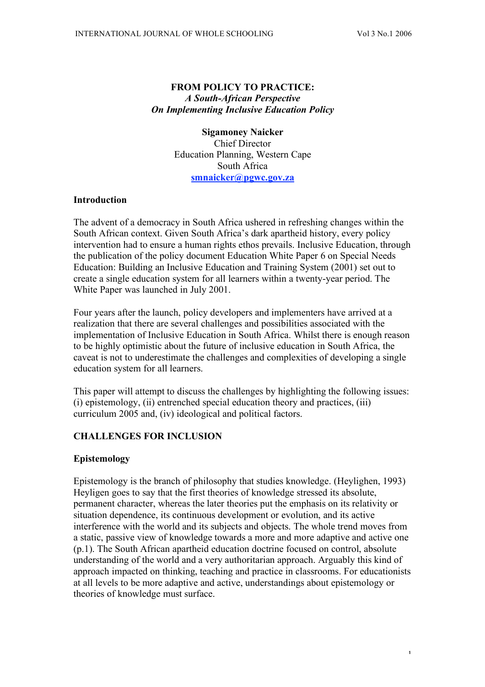# **FROM POLICY TO PRACTICE:** *A South-African Perspective On Implementing Inclusive Education Policy*

**Sigamoney Naicker** Chief Director Education Planning, Western Cape South Africa **smnaicker@pgwc.gov.za**

### **Introduction**

The advent of a democracy in South Africa ushered in refreshing changes within the South African context. Given South Africa's dark apartheid history, every policy intervention had to ensure a human rights ethos prevails. Inclusive Education, through the publication of the policy document Education White Paper 6 on Special Needs Education: Building an Inclusive Education and Training System (2001) set out to create a single education system for all learners within a twenty-year period. The White Paper was launched in July 2001.

Four years after the launch, policy developers and implementers have arrived at a realization that there are several challenges and possibilities associated with the implementation of Inclusive Education in South Africa. Whilst there is enough reason to be highly optimistic about the future of inclusive education in South Africa, the caveat is not to underestimate the challenges and complexities of developing a single education system for all learners.

This paper will attempt to discuss the challenges by highlighting the following issues: (i) epistemology, (ii) entrenched special education theory and practices, (iii) curriculum 2005 and, (iv) ideological and political factors.

# **CHALLENGES FOR INCLUSION**

### **Epistemology**

Epistemology is the branch of philosophy that studies knowledge. (Heylighen, 1993) Heyligen goes to say that the first theories of knowledge stressed its absolute, permanent character, whereas the later theories put the emphasis on its relativity or situation dependence, its continuous development or evolution, and its active interference with the world and its subjects and objects. The whole trend moves from a static, passive view of knowledge towards a more and more adaptive and active one (p.1). The South African apartheid education doctrine focused on control, absolute understanding of the world and a very authoritarian approach. Arguably this kind of approach impacted on thinking, teaching and practice in classrooms. For educationists at all levels to be more adaptive and active, understandings about epistemology or theories of knowledge must surface.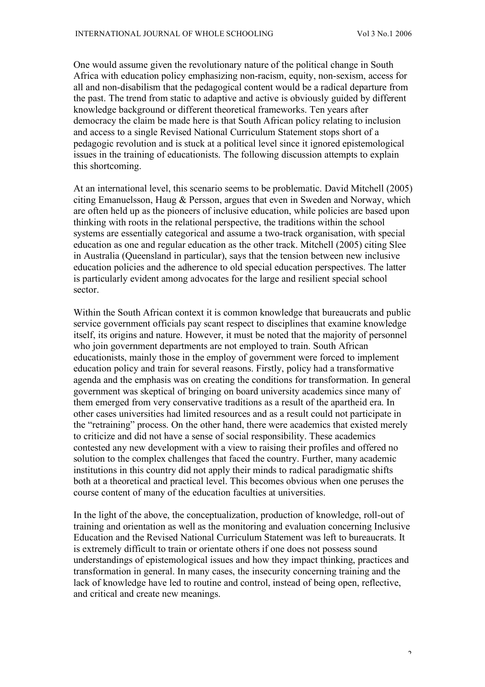One would assume given the revolutionary nature of the political change in South Africa with education policy emphasizing non-racism, equity, non-sexism, access for all and non-disabilism that the pedagogical content would be a radical departure from the past. The trend from static to adaptive and active is obviously guided by different knowledge background or different theoretical frameworks. Ten years after democracy the claim be made here is that South African policy relating to inclusion and access to a single Revised National Curriculum Statement stops short of a pedagogic revolution and is stuck at a political level since it ignored epistemological issues in the training of educationists. The following discussion attempts to explain this shortcoming.

At an international level, this scenario seems to be problematic. David Mitchell (2005) citing Emanuelsson, Haug & Persson, argues that even in Sweden and Norway, which are often held up as the pioneers of inclusive education, while policies are based upon thinking with roots in the relational perspective, the traditions within the school systems are essentially categorical and assume a two-track organisation, with special education as one and regular education as the other track. Mitchell (2005) citing Slee in Australia (Queensland in particular), says that the tension between new inclusive education policies and the adherence to old special education perspectives. The latter is particularly evident among advocates for the large and resilient special school sector.

Within the South African context it is common knowledge that bureaucrats and public service government officials pay scant respect to disciplines that examine knowledge itself, its origins and nature. However, it must be noted that the majority of personnel who join government departments are not employed to train. South African educationists, mainly those in the employ of government were forced to implement education policy and train for several reasons. Firstly, policy had a transformative agenda and the emphasis was on creating the conditions for transformation. In general government was skeptical of bringing on board university academics since many of them emerged from very conservative traditions as a result of the apartheid era. In other cases universities had limited resources and as a result could not participate in the "retraining" process. On the other hand, there were academics that existed merely to criticize and did not have a sense of social responsibility. These academics contested any new development with a view to raising their profiles and offered no solution to the complex challenges that faced the country. Further, many academic institutions in this country did not apply their minds to radical paradigmatic shifts both at a theoretical and practical level. This becomes obvious when one peruses the course content of many of the education faculties at universities.

In the light of the above, the conceptualization, production of knowledge, roll-out of training and orientation as well as the monitoring and evaluation concerning Inclusive Education and the Revised National Curriculum Statement was left to bureaucrats. It is extremely difficult to train or orientate others if one does not possess sound understandings of epistemological issues and how they impact thinking, practices and transformation in general. In many cases, the insecurity concerning training and the lack of knowledge have led to routine and control, instead of being open, reflective, and critical and create new meanings.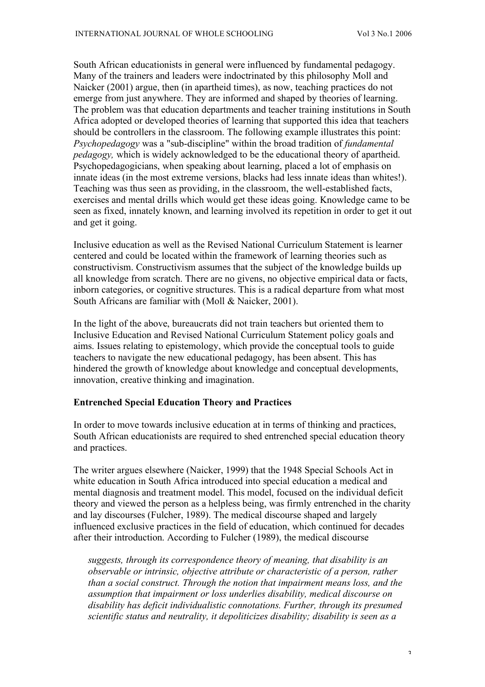South African educationists in general were influenced by fundamental pedagogy. Many of the trainers and leaders were indoctrinated by this philosophy Moll and Naicker (2001) argue, then (in apartheid times), as now, teaching practices do not emerge from just anywhere. They are informed and shaped by theories of learning. The problem was that education departments and teacher training institutions in South Africa adopted or developed theories of learning that supported this idea that teachers should be controllers in the classroom. The following example illustrates this point: *Psychopedagogy* was a "sub-discipline" within the broad tradition of *fundamental pedagogy,* which is widely acknowledged to be the educational theory of apartheid. Psychopedagogicians, when speaking about learning, placed a lot of emphasis on innate ideas (in the most extreme versions, blacks had less innate ideas than whites!). Teaching was thus seen as providing, in the classroom, the well-established facts, exercises and mental drills which would get these ideas going. Knowledge came to be seen as fixed, innately known, and learning involved its repetition in order to get it out and get it going.

Inclusive education as well as the Revised National Curriculum Statement is learner centered and could be located within the framework of learning theories such as constructivism. Constructivism assumes that the subject of the knowledge builds up all knowledge from scratch. There are no givens, no objective empirical data or facts, inborn categories, or cognitive structures. This is a radical departure from what most South Africans are familiar with (Moll & Naicker, 2001).

In the light of the above, bureaucrats did not train teachers but oriented them to Inclusive Education and Revised National Curriculum Statement policy goals and aims. Issues relating to epistemology, which provide the conceptual tools to guide teachers to navigate the new educational pedagogy, has been absent. This has hindered the growth of knowledge about knowledge and conceptual developments, innovation, creative thinking and imagination.

### **Entrenched Special Education Theory and Practices**

In order to move towards inclusive education at in terms of thinking and practices, South African educationists are required to shed entrenched special education theory and practices.

The writer argues elsewhere (Naicker, 1999) that the 1948 Special Schools Act in white education in South Africa introduced into special education a medical and mental diagnosis and treatment model. This model, focused on the individual deficit theory and viewed the person as a helpless being, was firmly entrenched in the charity and lay discourses (Fulcher, 1989). The medical discourse shaped and largely influenced exclusive practices in the field of education, which continued for decades after their introduction. According to Fulcher (1989), the medical discourse

*suggests, through its correspondence theory of meaning, that disability is an observable or intrinsic, objective attribute or characteristic of a person, rather than a social construct. Through the notion that impairment means loss, and the assumption that impairment or loss underlies disability, medical discourse on disability has deficit individualistic connotations. Further, through its presumed scientific status and neutrality, it depoliticizes disability; disability is seen as a*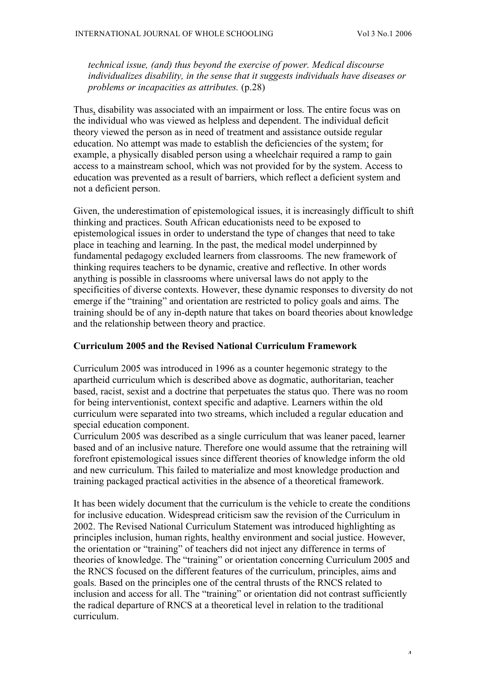*technical issue, (and) thus beyond the exercise of power. Medical discourse individualizes disability, in the sense that it suggests individuals have diseases or problems or incapacities as attributes.* (p.28)

Thus, disability was associated with an impairment or loss. The entire focus was on the individual who was viewed as helpless and dependent. The individual deficit theory viewed the person as in need of treatment and assistance outside regular education. No attempt was made to establish the deficiencies of the system; for example, a physically disabled person using a wheelchair required a ramp to gain access to a mainstream school, which was not provided for by the system. Access to education was prevented as a result of barriers, which reflect a deficient system and not a deficient person.

Given, the underestimation of epistemological issues, it is increasingly difficult to shift thinking and practices. South African educationists need to be exposed to epistemological issues in order to understand the type of changes that need to take place in teaching and learning. In the past, the medical model underpinned by fundamental pedagogy excluded learners from classrooms. The new framework of thinking requires teachers to be dynamic, creative and reflective. In other words anything is possible in classrooms where universal laws do not apply to the specificities of diverse contexts. However, these dynamic responses to diversity do not emerge if the "training" and orientation are restricted to policy goals and aims. The training should be of any in-depth nature that takes on board theories about knowledge and the relationship between theory and practice.

### **Curriculum 2005 and the Revised National Curriculum Framework**

Curriculum 2005 was introduced in 1996 as a counter hegemonic strategy to the apartheid curriculum which is described above as dogmatic, authoritarian, teacher based, racist, sexist and a doctrine that perpetuates the status quo. There was no room for being interventionist, context specific and adaptive. Learners within the old curriculum were separated into two streams, which included a regular education and special education component.

Curriculum 2005 was described as a single curriculum that was leaner paced, learner based and of an inclusive nature. Therefore one would assume that the retraining will forefront epistemological issues since different theories of knowledge inform the old and new curriculum. This failed to materialize and most knowledge production and training packaged practical activities in the absence of a theoretical framework.

It has been widely document that the curriculum is the vehicle to create the conditions for inclusive education. Widespread criticism saw the revision of the Curriculum in 2002. The Revised National Curriculum Statement was introduced highlighting as principles inclusion, human rights, healthy environment and social justice. However, the orientation or "training" of teachers did not inject any difference in terms of theories of knowledge. The "training" or orientation concerning Curriculum 2005 and the RNCS focused on the different features of the curriculum, principles, aims and goals. Based on the principles one of the central thrusts of the RNCS related to inclusion and access for all. The "training" or orientation did not contrast sufficiently the radical departure of RNCS at a theoretical level in relation to the traditional curriculum.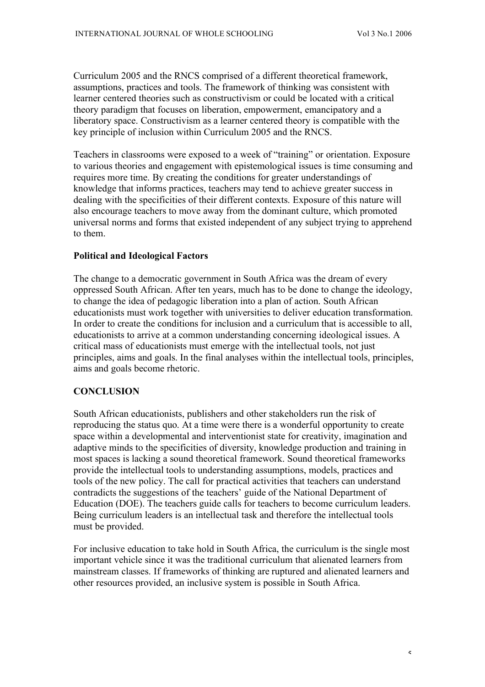Curriculum 2005 and the RNCS comprised of a different theoretical framework, assumptions, practices and tools. The framework of thinking was consistent with learner centered theories such as constructivism or could be located with a critical theory paradigm that focuses on liberation, empowerment, emancipatory and a liberatory space. Constructivism as a learner centered theory is compatible with the key principle of inclusion within Curriculum 2005 and the RNCS.

Teachers in classrooms were exposed to a week of "training" or orientation. Exposure to various theories and engagement with epistemological issues is time consuming and requires more time. By creating the conditions for greater understandings of knowledge that informs practices, teachers may tend to achieve greater success in dealing with the specificities of their different contexts. Exposure of this nature will also encourage teachers to move away from the dominant culture, which promoted universal norms and forms that existed independent of any subject trying to apprehend to them.

### **Political and Ideological Factors**

The change to a democratic government in South Africa was the dream of every oppressed South African. After ten years, much has to be done to change the ideology, to change the idea of pedagogic liberation into a plan of action. South African educationists must work together with universities to deliver education transformation. In order to create the conditions for inclusion and a curriculum that is accessible to all, educationists to arrive at a common understanding concerning ideological issues. A critical mass of educationists must emerge with the intellectual tools, not just principles, aims and goals. In the final analyses within the intellectual tools, principles, aims and goals become rhetoric.

### **CONCLUSION**

South African educationists, publishers and other stakeholders run the risk of reproducing the status quo. At a time were there is a wonderful opportunity to create space within a developmental and interventionist state for creativity, imagination and adaptive minds to the specificities of diversity, knowledge production and training in most spaces is lacking a sound theoretical framework. Sound theoretical frameworks provide the intellectual tools to understanding assumptions, models, practices and tools of the new policy. The call for practical activities that teachers can understand contradicts the suggestions of the teachers' guide of the National Department of Education (DOE). The teachers guide calls for teachers to become curriculum leaders. Being curriculum leaders is an intellectual task and therefore the intellectual tools must be provided.

For inclusive education to take hold in South Africa, the curriculum is the single most important vehicle since it was the traditional curriculum that alienated learners from mainstream classes. If frameworks of thinking are ruptured and alienated learners and other resources provided, an inclusive system is possible in South Africa.